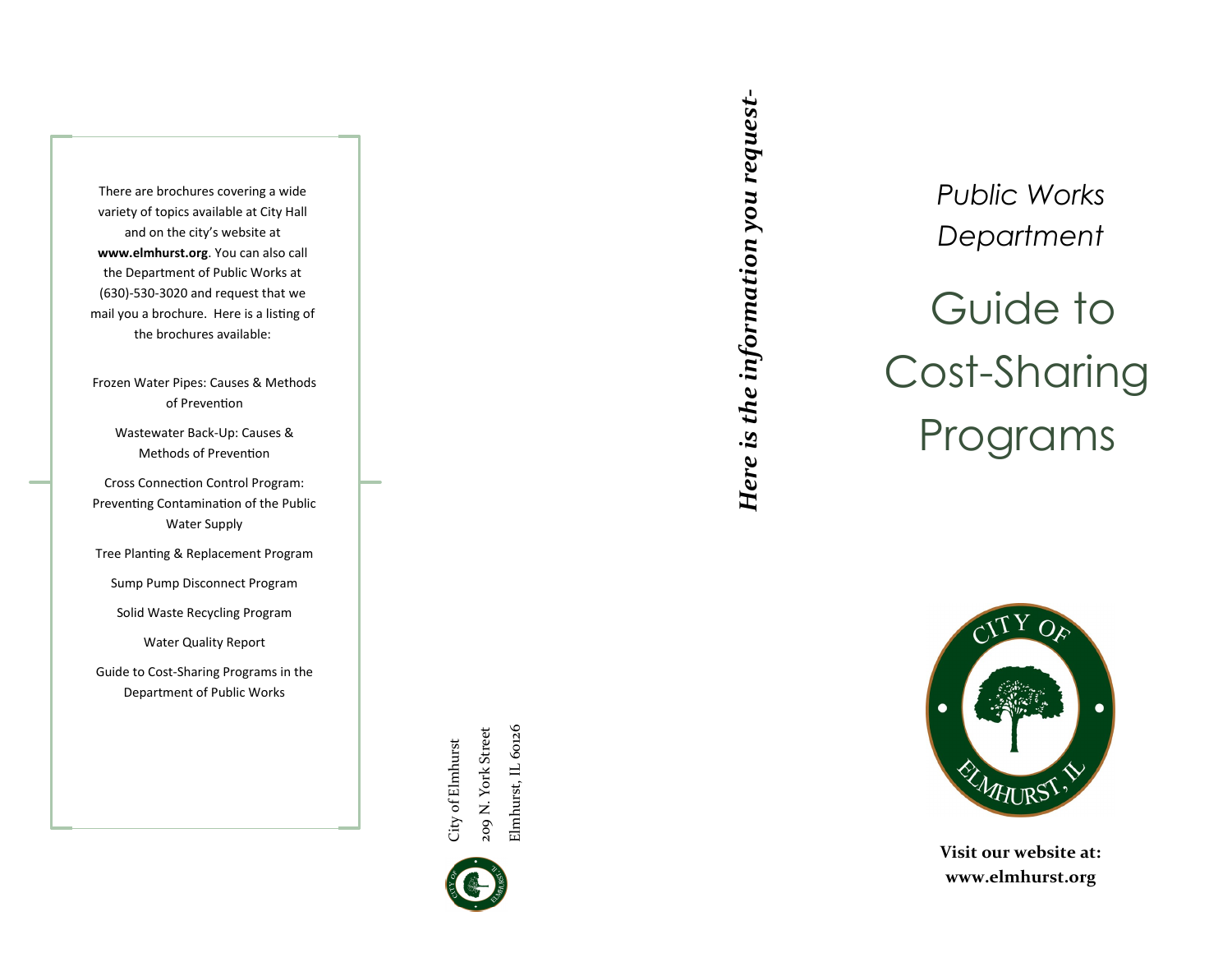There are brochures covering a wide variety of topics available at City Hall and on the city's website at **www.elmhurst.org**. You can also call the Department of Public Works at (630) -530 -3020 and request that we mail you a brochure. Here is a listing of the brochures available:

Frozen Water Pipes: Causes & Methods of Prevention

> Wastewater Back -Up: Causes & Methods of Prevention

Cross Connection Control Program: Preventing Contamination of the Public Water Supply

Tree Planting & Replacement Program

Sump Pump Disconnect Program

Solid Waste Recycling Program

Water Quality Report

Guide to Cost -Sharing Programs in the Department of Public Works

> Elmhurst, IL 60126 209 N. York Street Elmhurst, IL 60126 209 N. York Street City of Elmhurst City of Elmhurst



Here is the information you request-*Here is the information you request-*

Guide to Cost -Sharing Programs *Public Works Department*



**Visit our website at: www.elmhurst.org**